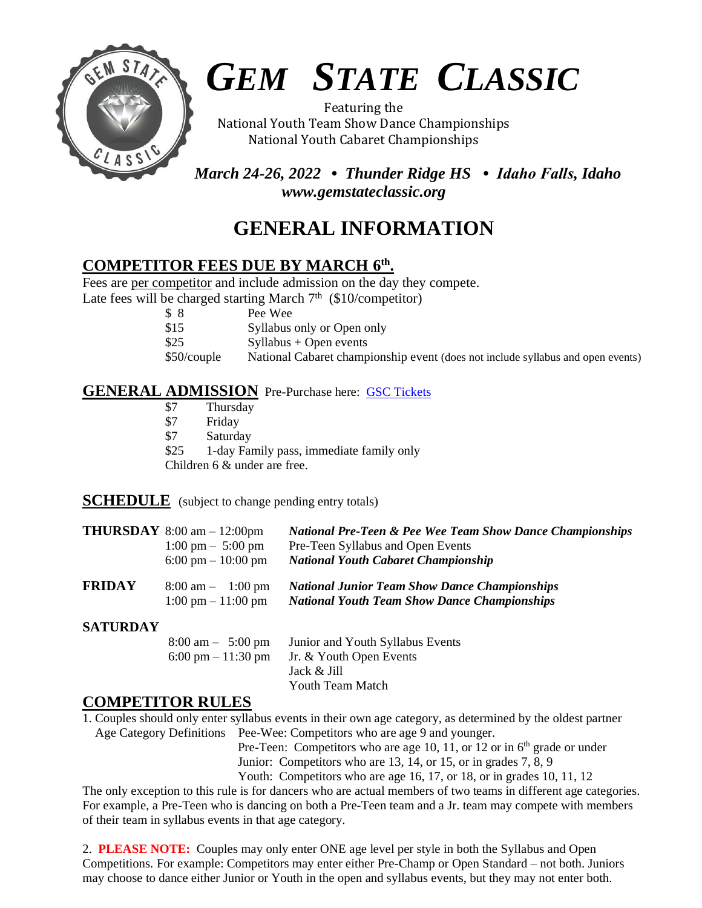

# *GEM STATE CLASSIC*

Featuring the National Youth Team Show Dance Championships National Youth Cabaret Championships

 *March 24-26, 2022 • Thunder Ridge HS • Idaho Falls, Idaho www.gemstateclassic.org*

## **GENERAL INFORMATION**

## **COMPETITOR FEES DUE BY MARCH 6 th .**

Fees are per competitor and include admission on the day they compete.

Late fees will be charged starting March  $7<sup>th</sup>$  (\$10/competitor)

\$ 8 Pee Wee

- \$15 Syllabus only or Open only
- $$25$  Syllabus + Open events
- \$50/couple National Cabaret championship event (does not include syllabus and open events)

## **GENERAL ADMISSION** Pre-Purchase here: [GSC Tickets](https://buytickets.at/classiccompetitions)

- \$7 Thursday
- \$7 Friday
- **Saturday**
- \$25 1-day Family pass, immediate family only

Children 6 & under are free.

**SCHEDULE** (subject to change pending entry totals) I

|                 | <b>THURSDAY</b> 8:00 am $- 12:00 \text{pm}$<br>$1:00 \text{ pm} - 5:00 \text{ pm}$<br>6:00 pm $-10:00$ pm | <b>National Pre-Teen &amp; Pee Wee Team Show Dance Championships</b><br>Pre-Teen Syllabus and Open Events<br><b>National Youth Cabaret Championship</b> |
|-----------------|-----------------------------------------------------------------------------------------------------------|---------------------------------------------------------------------------------------------------------------------------------------------------------|
| <b>FRIDAY</b>   | $8:00 \text{ am} - 1:00 \text{ pm}$<br>$1:00 \text{ pm} - 11:00 \text{ pm}$                               | <b>National Junior Team Show Dance Championships</b><br><b>National Youth Team Show Dance Championships</b>                                             |
| <b>SATURDAY</b> |                                                                                                           |                                                                                                                                                         |

#### **SATURDAY**

8:00 am – 5:00 pm Junior and Youth Syllabus Events 6:00 pm – 11:30 pm – Jr. & Youth Open Events Jack & Jill Youth Team Match

## **COMPETITOR RULES**

1. Couples should only enter syllabus events in their own age category, as determined by the oldest partner Age Category Definitions Pee-Wee: Competitors who are age 9 and younger.

Pre-Teen: Competitors who are age 10, 11, or 12 or in  $6<sup>th</sup>$  grade or under Junior: Competitors who are 13, 14, or 15, or in grades 7, 8, 9

Youth: Competitors who are age 16, 17, or 18, or in grades 10, 11, 12

The only exception to this rule is for dancers who are actual members of two teams in different age categories. For example, a Pre-Teen who is dancing on both a Pre-Teen team and a Jr. team may compete with members of their team in syllabus events in that age category.

2. **PLEASE NOTE:** Couples may only enter ONE age level per style in both the Syllabus and Open Competitions. For example: Competitors may enter either Pre-Champ or Open Standard – not both. Juniors may choose to dance either Junior or Youth in the open and syllabus events, but they may not enter both.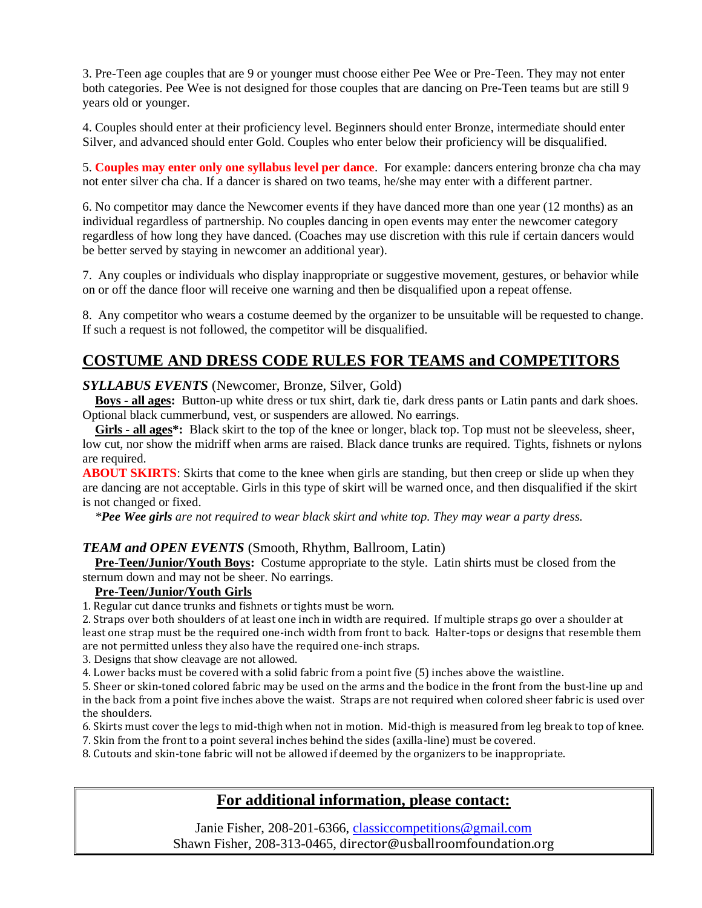3. Pre-Teen age couples that are 9 or younger must choose either Pee Wee or Pre-Teen. They may not enter both categories. Pee Wee is not designed for those couples that are dancing on Pre-Teen teams but are still 9 years old or younger.

4. Couples should enter at their proficiency level. Beginners should enter Bronze, intermediate should enter Silver, and advanced should enter Gold. Couples who enter below their proficiency will be disqualified.

5. **Couples may enter only one syllabus level per dance**. For example: dancers entering bronze cha cha may not enter silver cha cha. If a dancer is shared on two teams, he/she may enter with a different partner.

6. No competitor may dance the Newcomer events if they have danced more than one year (12 months) as an individual regardless of partnership. No couples dancing in open events may enter the newcomer category regardless of how long they have danced. (Coaches may use discretion with this rule if certain dancers would be better served by staying in newcomer an additional year).

7. Any couples or individuals who display inappropriate or suggestive movement, gestures, or behavior while on or off the dance floor will receive one warning and then be disqualified upon a repeat offense.

8. Any competitor who wears a costume deemed by the organizer to be unsuitable will be requested to change. If such a request is not followed, the competitor will be disqualified.

## **COSTUME AND DRESS CODE RULES FOR TEAMS and COMPETITORS**

#### *SYLLABUS EVENTS* (Newcomer, Bronze, Silver, Gold)

 **Boys - all ages:** Button-up white dress or tux shirt, dark tie, dark dress pants or Latin pants and dark shoes. Optional black cummerbund, vest, or suspenders are allowed. No earrings.

 **Girls - all ages\*:** Black skirt to the top of the knee or longer, black top. Top must not be sleeveless, sheer, low cut, nor show the midriff when arms are raised. Black dance trunks are required. Tights, fishnets or nylons are required.

**ABOUT SKIRTS**: Skirts that come to the knee when girls are standing, but then creep or slide up when they are dancing are not acceptable. Girls in this type of skirt will be warned once, and then disqualified if the skirt is not changed or fixed.

 *\*Pee Wee girls are not required to wear black skirt and white top. They may wear a party dress.*

#### *TEAM and OPEN EVENTS* (Smooth, Rhythm, Ballroom, Latin)

 **Pre-Teen/Junior/Youth Boys:** Costume appropriate to the style. Latin shirts must be closed from the sternum down and may not be sheer. No earrings.

#### **Pre-Teen/Junior/Youth Girls**

1. Regular cut dance trunks and fishnets or tights must be worn.

2. Straps over both shoulders of at least one inch in width are required. If multiple straps go over a shoulder at least one strap must be the required one-inch width from front to back. Halter-tops or designs that resemble them are not permitted unless they also have the required one-inch straps.

3. Designs that show cleavage are not allowed.

4. Lower backs must be covered with a solid fabric from a point five (5) inches above the waistline.

5. Sheer or skin-toned colored fabric may be used on the arms and the bodice in the front from the bust-line up and in the back from a point five inches above the waist. Straps are not required when colored sheer fabric is used over the shoulders.

6. Skirts must cover the legs to mid-thigh when not in motion. Mid-thigh is measured from leg break to top of knee.

7. Skin from the front to a point several inches behind the sides (axilla-line) must be covered.

8. Cutouts and skin-tone fabric will not be allowed if deemed by the organizers to be inappropriate.

## **For additional information, please contact:**

Janie Fisher, 208-201-6366, [classiccompetitions@gmail.com](mailto:classiccompetitions@gmail.com) Shawn Fisher, 208-313-0465, director@usballroomfoundation.org